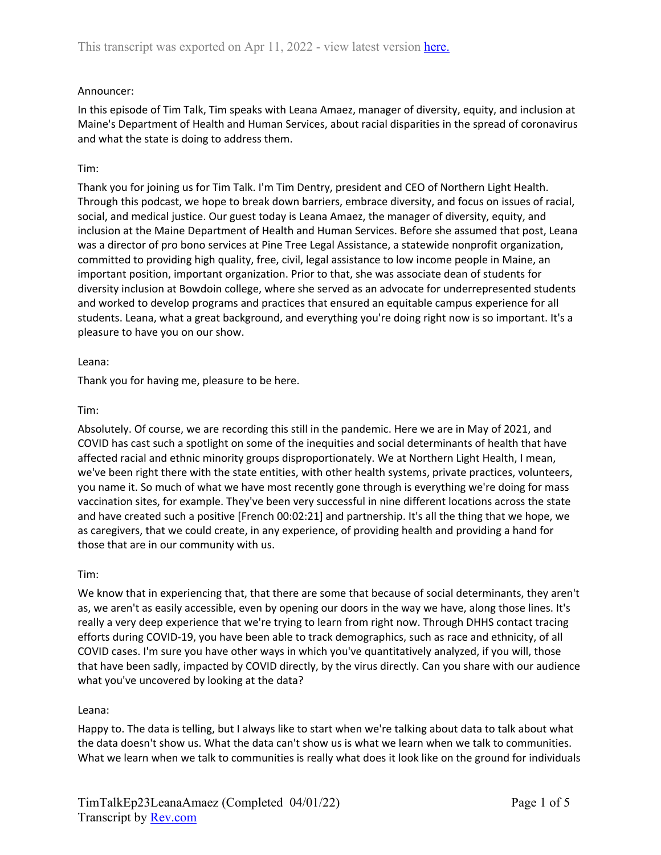## Announcer:

In this episode of Tim Talk, Tim speaks with Leana Amaez, manager of diversity, equity, and inclusion at Maine's Department of Health and Human Services, about racial disparities in the spread of coronavirus and what the state is doing to address them.

## Tim:

Thank you for joining us for Tim Talk. I'm Tim Dentry, president and CEO of Northern Light Health. Through this podcast, we hope to break down barriers, embrace diversity, and focus on issues of racial, social, and medical justice. Our guest today is Leana Amaez, the manager of diversity, equity, and inclusion at the Maine Department of Health and Human Services. Before she assumed that post, Leana was a director of pro bono services at Pine Tree Legal Assistance, a statewide nonprofit organization, committed to providing high quality, free, civil, legal assistance to low income people in Maine, an important position, important organization. Prior to that, she was associate dean of students for diversity inclusion at Bowdoin college, where she served as an advocate for underrepresented students and worked to develop programs and practices that ensured an equitable campus experience for all students. Leana, what a great background, and everything you're doing right now is so important. It's a pleasure to have you on our show.

#### Leana:

Thank you for having me, pleasure to be here.

## Tim:

Absolutely. Of course, we are recording this still in the pandemic. Here we are in May of 2021, and COVID has cast such a spotlight on some of the inequities and social determinants of health that have affected racial and ethnic minority groups disproportionately. We at Northern Light Health, I mean, we've been right there with the state entities, with other health systems, private practices, volunteers, you name it. So much of what we have most recently gone through is everything we're doing for mass vaccination sites, for example. They've been very successful in nine different locations across the state and have created such a positive [French 00:02:21] and partnership. It's all the thing that we hope, we as caregivers, that we could create, in any experience, of providing health and providing a hand for those that are in our community with us.

# Tim:

We know that in experiencing that, that there are some that because of social determinants, they aren't as, we aren't as easily accessible, even by opening our doors in the way we have, along those lines. It's really a very deep experience that we're trying to learn from right now. Through DHHS contact tracing efforts during COVID-19, you have been able to track demographics, such as race and ethnicity, of all COVID cases. I'm sure you have other ways in which you've quantitatively analyzed, if you will, those that have been sadly, impacted by COVID directly, by the virus directly. Can you share with our audience what you've uncovered by looking at the data?

# Leana:

Happy to. The data is telling, but I always like to start when we're talking about data to talk about what the data doesn't show us. What the data can't show us is what we learn when we talk to communities. What we learn when we talk to communities is really what does it look like on the ground for individuals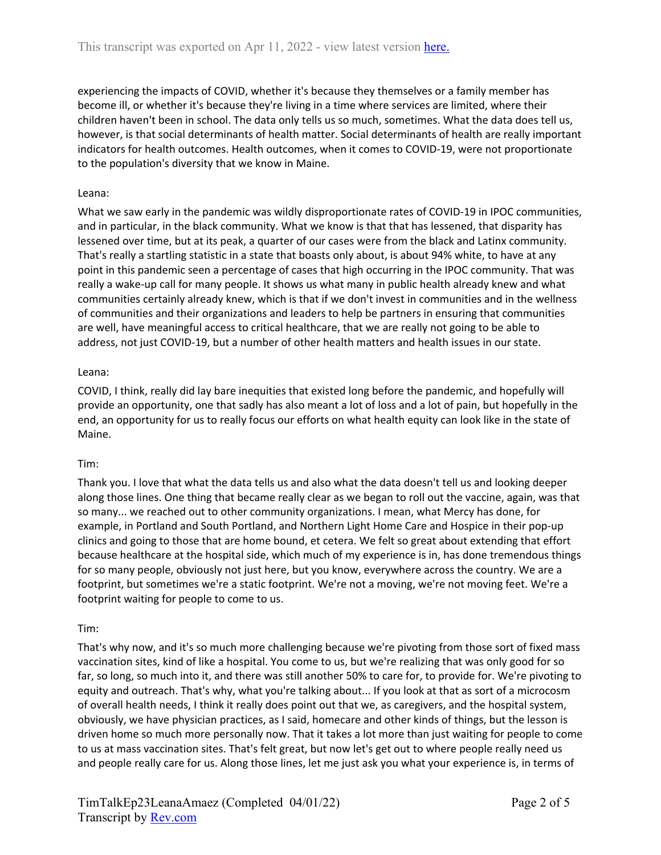experiencing the impacts of COVID, whether it's because they themselves or a family member has become ill, or whether it's because they're living in a time where services are limited, where their children haven't been in school. The data only tells us so much, sometimes. What the data does tell us, however, is that social determinants of health matter. Social determinants of health are really important indicators for health outcomes. Health outcomes, when it comes to COVID-19, were not proportionate to the population's diversity that we know in Maine.

## Leana:

What we saw early in the pandemic was wildly disproportionate rates of COVID-19 in IPOC communities, and in particular, in the black community. What we know is that that has lessened, that disparity has lessened over time, but at its peak, a quarter of our cases were from the black and Latinx community. That's really a startling statistic in a state that boasts only about, is about 94% white, to have at any point in this pandemic seen a percentage of cases that high occurring in the IPOC community. That was really a wake-up call for many people. It shows us what many in public health already knew and what communities certainly already knew, which is that if we don't invest in communities and in the wellness of communities and their organizations and leaders to help be partners in ensuring that communities are well, have meaningful access to critical healthcare, that we are really not going to be able to address, not just COVID-19, but a number of other health matters and health issues in our state.

## Leana:

COVID, I think, really did lay bare inequities that existed long before the pandemic, and hopefully will provide an opportunity, one that sadly has also meant a lot of loss and a lot of pain, but hopefully in the end, an opportunity for us to really focus our efforts on what health equity can look like in the state of Maine.

#### Tim:

Thank you. I love that what the data tells us and also what the data doesn't tell us and looking deeper along those lines. One thing that became really clear as we began to roll out the vaccine, again, was that so many... we reached out to other community organizations. I mean, what Mercy has done, for example, in Portland and South Portland, and Northern Light Home Care and Hospice in their pop-up clinics and going to those that are home bound, et cetera. We felt so great about extending that effort because healthcare at the hospital side, which much of my experience is in, has done tremendous things for so many people, obviously not just here, but you know, everywhere across the country. We are a footprint, but sometimes we're a static footprint. We're not a moving, we're not moving feet. We're a footprint waiting for people to come to us.

#### Tim:

That's why now, and it's so much more challenging because we're pivoting from those sort of fixed mass vaccination sites, kind of like a hospital. You come to us, but we're realizing that was only good for so far, so long, so much into it, and there was still another 50% to care for, to provide for. We're pivoting to equity and outreach. That's why, what you're talking about... If you look at that as sort of a microcosm of overall health needs, I think it really does point out that we, as caregivers, and the hospital system, obviously, we have physician practices, as I said, homecare and other kinds of things, but the lesson is driven home so much more personally now. That it takes a lot more than just waiting for people to come to us at mass vaccination sites. That's felt great, but now let's get out to where people really need us and people really care for us. Along those lines, let me just ask you what your experience is, in terms of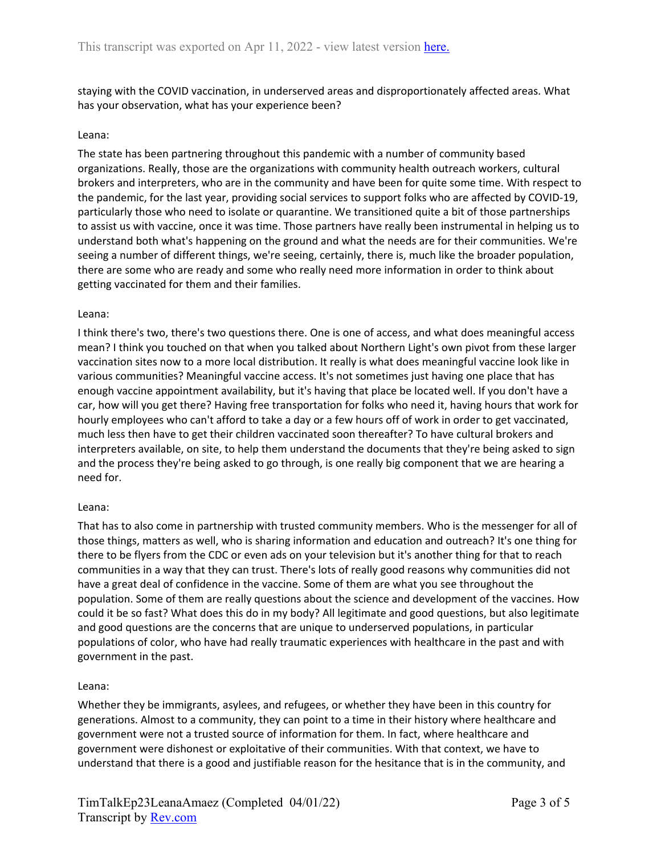staying with the COVID vaccination, in underserved areas and disproportionately affected areas. What has your observation, what has your experience been?

## Leana:

The state has been partnering throughout this pandemic with a number of community based organizations. Really, those are the organizations with community health outreach workers, cultural brokers and interpreters, who are in the community and have been for quite some time. With respect to the pandemic, for the last year, providing social services to support folks who are affected by COVID-19, particularly those who need to isolate or quarantine. We transitioned quite a bit of those partnerships to assist us with vaccine, once it was time. Those partners have really been instrumental in helping us to understand both what's happening on the ground and what the needs are for their communities. We're seeing a number of different things, we're seeing, certainly, there is, much like the broader population, there are some who are ready and some who really need more information in order to think about getting vaccinated for them and their families.

#### Leana:

I think there's two, there's two questions there. One is one of access, and what does meaningful access mean? I think you touched on that when you talked about Northern Light's own pivot from these larger vaccination sites now to a more local distribution. It really is what does meaningful vaccine look like in various communities? Meaningful vaccine access. It's not sometimes just having one place that has enough vaccine appointment availability, but it's having that place be located well. If you don't have a car, how will you get there? Having free transportation for folks who need it, having hours that work for hourly employees who can't afford to take a day or a few hours off of work in order to get vaccinated, much less then have to get their children vaccinated soon thereafter? To have cultural brokers and interpreters available, on site, to help them understand the documents that they're being asked to sign and the process they're being asked to go through, is one really big component that we are hearing a need for.

#### Leana:

That has to also come in partnership with trusted community members. Who is the messenger for all of those things, matters as well, who is sharing information and education and outreach? It's one thing for there to be flyers from the CDC or even ads on your television but it's another thing for that to reach communities in a way that they can trust. There's lots of really good reasons why communities did not have a great deal of confidence in the vaccine. Some of them are what you see throughout the population. Some of them are really questions about the science and development of the vaccines. How could it be so fast? What does this do in my body? All legitimate and good questions, but also legitimate and good questions are the concerns that are unique to underserved populations, in particular populations of color, who have had really traumatic experiences with healthcare in the past and with government in the past.

#### Leana:

Whether they be immigrants, asylees, and refugees, or whether they have been in this country for generations. Almost to a community, they can point to a time in their history where healthcare and government were not a trusted source of information for them. In fact, where healthcare and government were dishonest or exploitative of their communities. With that context, we have to understand that there is a good and justifiable reason for the hesitance that is in the community, and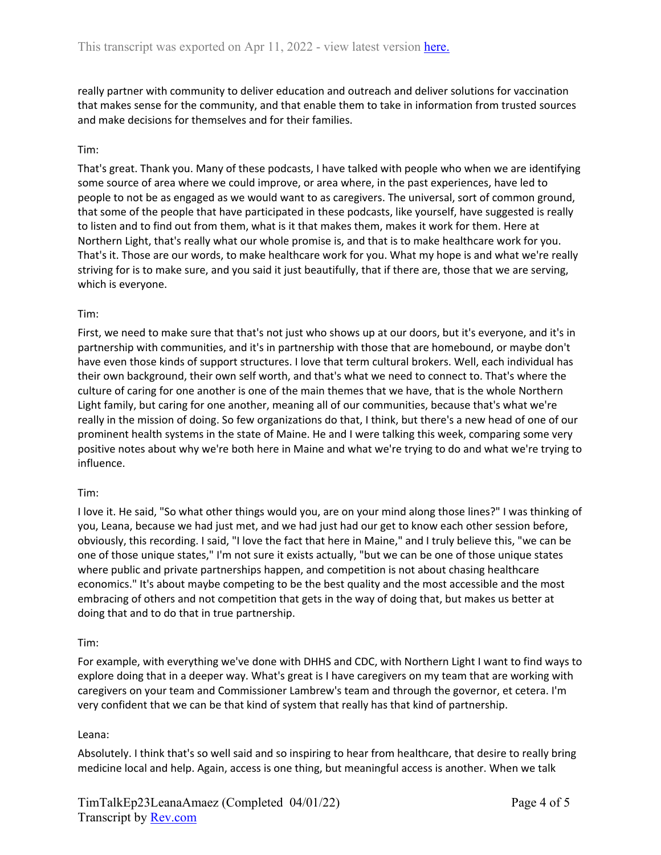really partner with community to deliver education and outreach and deliver solutions for vaccination that makes sense for the community, and that enable them to take in information from trusted sources and make decisions for themselves and for their families.

## Tim:

That's great. Thank you. Many of these podcasts, I have talked with people who when we are identifying some source of area where we could improve, or area where, in the past experiences, have led to people to not be as engaged as we would want to as caregivers. The universal, sort of common ground, that some of the people that have participated in these podcasts, like yourself, have suggested is really to listen and to find out from them, what is it that makes them, makes it work for them. Here at Northern Light, that's really what our whole promise is, and that is to make healthcare work for you. That's it. Those are our words, to make healthcare work for you. What my hope is and what we're really striving for is to make sure, and you said it just beautifully, that if there are, those that we are serving, which is everyone.

#### Tim:

First, we need to make sure that that's not just who shows up at our doors, but it's everyone, and it's in partnership with communities, and it's in partnership with those that are homebound, or maybe don't have even those kinds of support structures. I love that term cultural brokers. Well, each individual has their own background, their own self worth, and that's what we need to connect to. That's where the culture of caring for one another is one of the main themes that we have, that is the whole Northern Light family, but caring for one another, meaning all of our communities, because that's what we're really in the mission of doing. So few organizations do that, I think, but there's a new head of one of our prominent health systems in the state of Maine. He and I were talking this week, comparing some very positive notes about why we're both here in Maine and what we're trying to do and what we're trying to influence.

#### Tim:

I love it. He said, "So what other things would you, are on your mind along those lines?" I was thinking of you, Leana, because we had just met, and we had just had our get to know each other session before, obviously, this recording. I said, "I love the fact that here in Maine," and I truly believe this, "we can be one of those unique states," I'm not sure it exists actually, "but we can be one of those unique states where public and private partnerships happen, and competition is not about chasing healthcare economics." It's about maybe competing to be the best quality and the most accessible and the most embracing of others and not competition that gets in the way of doing that, but makes us better at doing that and to do that in true partnership.

#### Tim:

For example, with everything we've done with DHHS and CDC, with Northern Light I want to find ways to explore doing that in a deeper way. What's great is I have caregivers on my team that are working with caregivers on your team and Commissioner Lambrew's team and through the governor, et cetera. I'm very confident that we can be that kind of system that really has that kind of partnership.

#### Leana:

Absolutely. I think that's so well said and so inspiring to hear from healthcare, that desire to really bring medicine local and help. Again, access is one thing, but meaningful access is another. When we talk